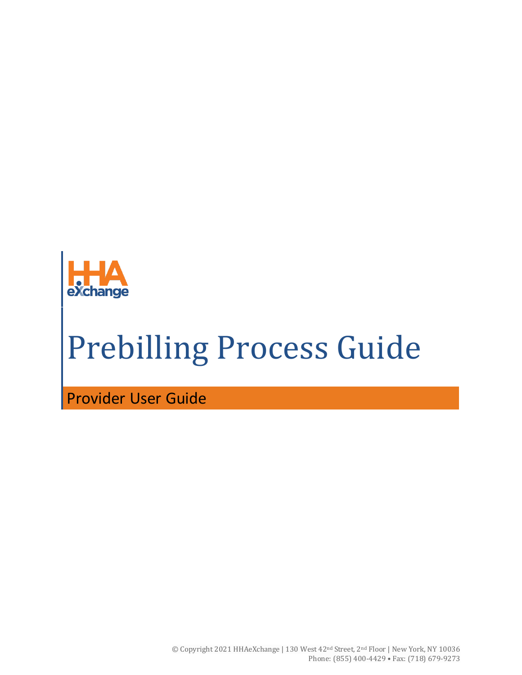

# Prebilling Process Guide

Provider User Guide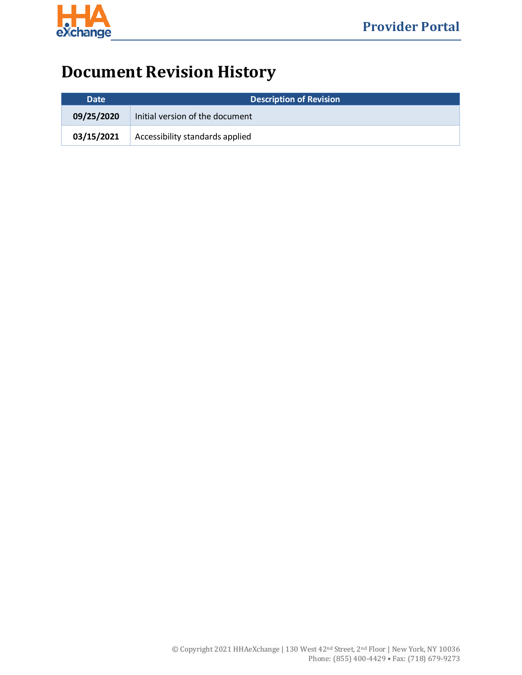

## **Document Revision History**

| Date       | <b>Description of Revision</b>  |  |
|------------|---------------------------------|--|
| 09/25/2020 | Initial version of the document |  |
| 03/15/2021 | Accessibility standards applied |  |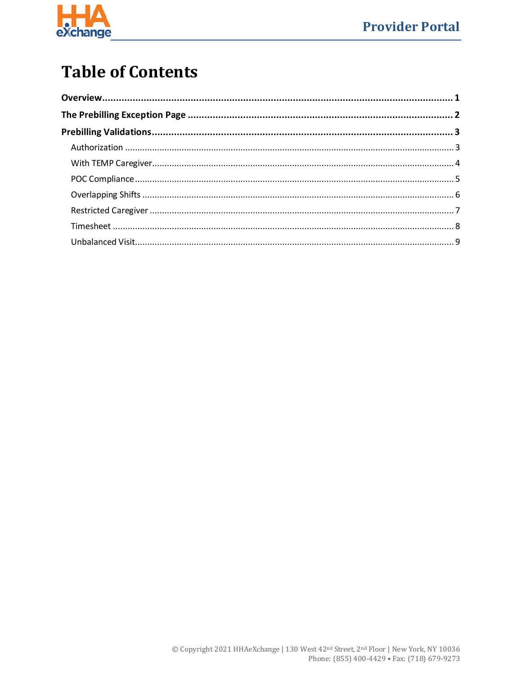

## **Table of Contents**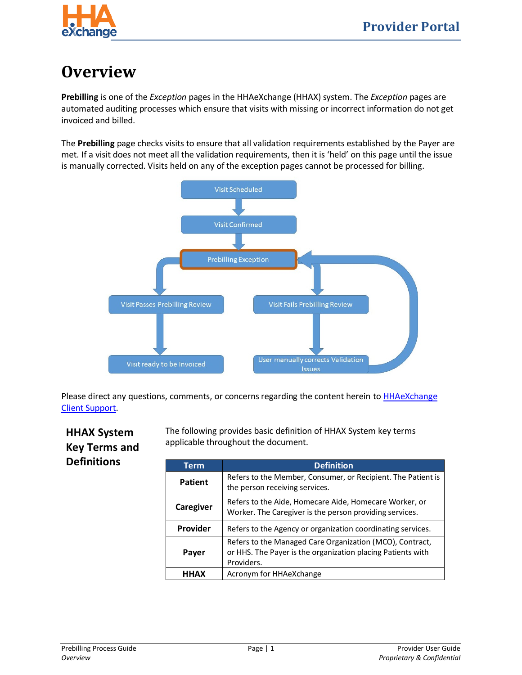

## <span id="page-3-0"></span>**Overview**

**Prebilling** is one of the *Exception* pages in the HHAeXchange (HHAX) system. The *Exception* pages are automated auditing processes which ensure that visits with missing or incorrect information do not get invoiced and billed.

The **Prebilling** page checks visits to ensure that all validation requirements established by the Payer are met. If a visit does not meet all the validation requirements, then it is 'held' on this page until the issue is manually corrected. Visits held on any of the exception pages cannot be processed for billing.



Please direct any questions, comments, or concerns regarding the content herein t[o HHAeXchange](mailto:support@hhaexchange.com)  [Client Support.](mailto:support@hhaexchange.com)

#### **HHAX System Key Terms and Definitions**

The following provides basic definition of HHAX System key terms applicable throughout the document.

| <b>Term</b> | <b>Definition</b>                                                                                                                     |
|-------------|---------------------------------------------------------------------------------------------------------------------------------------|
| Patient     | Refers to the Member, Consumer, or Recipient. The Patient is<br>the person receiving services.                                        |
| Caregiver   | Refers to the Aide, Homecare Aide, Homecare Worker, or<br>Worker. The Caregiver is the person providing services.                     |
| Provider    | Refers to the Agency or organization coordinating services.                                                                           |
| Payer       | Refers to the Managed Care Organization (MCO), Contract,<br>or HHS. The Payer is the organization placing Patients with<br>Providers. |
| <b>HHAX</b> | Acronym for HHAeXchange                                                                                                               |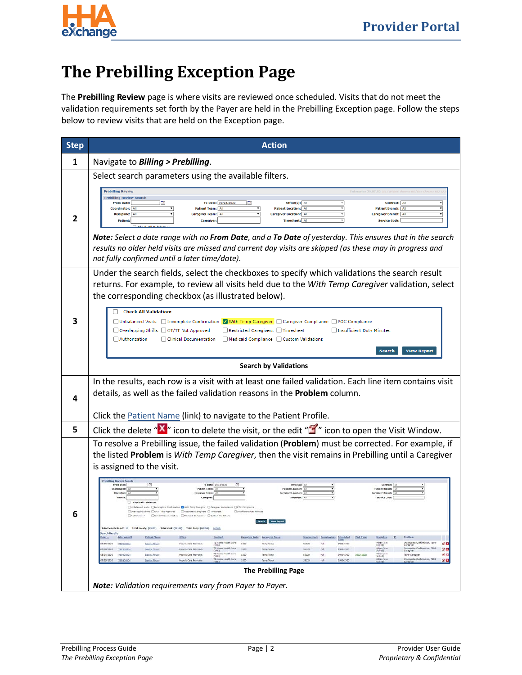

## <span id="page-4-0"></span>**The Prebilling Exception Page**

The **Prebilling Review** page is where visits are reviewed once scheduled. Visits that do not meet the validation requirements set forth by the Payer are held in the Prebilling Exception page. Follow the steps below to review visits that are held on the Exception page.

| <b>Step</b> | <b>Action</b>                                                                                                                                                                                                                                                                                                                                                                                                                                                                                                                                                                                                                                                                                                                                                                                                                                                                                                                                                                                                                                                                                                                                                                                                                                                                                                                                                                                                                                                                                                                                                                                                                                                                                                                                                                                                                                                                                                                                                                      |  |  |
|-------------|------------------------------------------------------------------------------------------------------------------------------------------------------------------------------------------------------------------------------------------------------------------------------------------------------------------------------------------------------------------------------------------------------------------------------------------------------------------------------------------------------------------------------------------------------------------------------------------------------------------------------------------------------------------------------------------------------------------------------------------------------------------------------------------------------------------------------------------------------------------------------------------------------------------------------------------------------------------------------------------------------------------------------------------------------------------------------------------------------------------------------------------------------------------------------------------------------------------------------------------------------------------------------------------------------------------------------------------------------------------------------------------------------------------------------------------------------------------------------------------------------------------------------------------------------------------------------------------------------------------------------------------------------------------------------------------------------------------------------------------------------------------------------------------------------------------------------------------------------------------------------------------------------------------------------------------------------------------------------------|--|--|
| 1           | Navigate to Billing > Prebilling.                                                                                                                                                                                                                                                                                                                                                                                                                                                                                                                                                                                                                                                                                                                                                                                                                                                                                                                                                                                                                                                                                                                                                                                                                                                                                                                                                                                                                                                                                                                                                                                                                                                                                                                                                                                                                                                                                                                                                  |  |  |
|             | Select search parameters using the available filters.                                                                                                                                                                                                                                                                                                                                                                                                                                                                                                                                                                                                                                                                                                                                                                                                                                                                                                                                                                                                                                                                                                                                                                                                                                                                                                                                                                                                                                                                                                                                                                                                                                                                                                                                                                                                                                                                                                                              |  |  |
| 2           | <b>Prebilling Review</b><br><b>Prebilling Review Search</b><br>To Date: 09/28/2020<br><b>From Date:</b><br>Office(s): Al<br>Contract:<br>Coordinator: All<br><b>Patient Location:</b><br>A)<br><b>Patient Branch:</b><br><b>Patient Team:</b><br>Discipline: All<br><b>Caregiver Location:</b> All<br>Caregiver Branch: Al<br><b>Caregiver Team:</b><br>Patient:<br>Timesheet:   Al<br><b>Service Code</b><br>Note: Select a date range with no From Date, and a To Date of yesterday. This ensures that in the search<br>results no older held visits are missed and current day visits are skipped (as these may in progress and<br>not fully confirmed until a later time/date).                                                                                                                                                                                                                                                                                                                                                                                                                                                                                                                                                                                                                                                                                                                                                                                                                                                                                                                                                                                                                                                                                                                                                                                                                                                                                                |  |  |
|             | Under the search fields, select the checkboxes to specify which validations the search result<br>returns. For example, to review all visits held due to the With Temp Caregiver validation, select<br>the corresponding checkbox (as illustrated below).                                                                                                                                                                                                                                                                                                                                                                                                                                                                                                                                                                                                                                                                                                                                                                                                                                                                                                                                                                                                                                                                                                                                                                                                                                                                                                                                                                                                                                                                                                                                                                                                                                                                                                                           |  |  |
|             | <b>Check All Validation:</b><br>□ Unbalanced Visits □ Incomplete Confirmation  √ With Temp Caregiver □ Caregiver Compliance □ POC Compliance<br>□ Overlapping Shifts □ OT/TT Not Approved<br>Restricted Caregivers Timesheet<br>Insufficient Duty Minutes<br>Clinical Documentation<br>Medicaid Compliance   Custom Validations<br>Authorization<br>Search<br><b>View Report</b>                                                                                                                                                                                                                                                                                                                                                                                                                                                                                                                                                                                                                                                                                                                                                                                                                                                                                                                                                                                                                                                                                                                                                                                                                                                                                                                                                                                                                                                                                                                                                                                                   |  |  |
|             | <b>Search by Validations</b>                                                                                                                                                                                                                                                                                                                                                                                                                                                                                                                                                                                                                                                                                                                                                                                                                                                                                                                                                                                                                                                                                                                                                                                                                                                                                                                                                                                                                                                                                                                                                                                                                                                                                                                                                                                                                                                                                                                                                       |  |  |
| 4           | In the results, each row is a visit with at least one failed validation. Each line item contains visit<br>details, as well as the failed validation reasons in the <b>Problem</b> column.                                                                                                                                                                                                                                                                                                                                                                                                                                                                                                                                                                                                                                                                                                                                                                                                                                                                                                                                                                                                                                                                                                                                                                                                                                                                                                                                                                                                                                                                                                                                                                                                                                                                                                                                                                                          |  |  |
|             | Click the Patient Name (link) to navigate to the Patient Profile.                                                                                                                                                                                                                                                                                                                                                                                                                                                                                                                                                                                                                                                                                                                                                                                                                                                                                                                                                                                                                                                                                                                                                                                                                                                                                                                                                                                                                                                                                                                                                                                                                                                                                                                                                                                                                                                                                                                  |  |  |
| 5           | Click the delete " $X''$ icon to delete the visit, or the edit " $Y''$ icon to open the Visit Window.                                                                                                                                                                                                                                                                                                                                                                                                                                                                                                                                                                                                                                                                                                                                                                                                                                                                                                                                                                                                                                                                                                                                                                                                                                                                                                                                                                                                                                                                                                                                                                                                                                                                                                                                                                                                                                                                              |  |  |
|             | To resolve a Prebilling issue, the failed validation (Problem) must be corrected. For example, if<br>the listed Problem is With Temp Caregiver, then the visit remains in Prebilling until a Caregiver<br>is assigned to the visit.<br>whitling Review Search<br><b>From Date:</b><br>To Date: 09/13/2020<br>Office(s):<br>Contract<br>Patient Team:<br>Patient Location:<br><b>Check All Validation</b><br>Otrbelanced Visits   Dincersplete Confirmation   With Temp Caregiver   Campler Complance   POC Complanor<br>Overlapping Shifts EDOT/TT Not Approved ERestricted Caregivers ETimesheet<br>3 Insufficient Duty Minutes<br>Ciricul Concretation Blediraid Completes Ciciaton Validations<br><b>Nearch - View Report</b><br>Total Search Result: 18 Total Hourly: (79:00) Total VINE: (00:00) Total Daily: (00:00) Edfresh<br><b>Genech Results</b><br>Service Center Coundinators Scheduled Visit-Time Disclosion II<br>Problem<br>Ashwiwaism2D<br><b>Pelicot Name</b><br>Contrast<br>Caregores Cude Caregores Name<br>$D$ at $x =$<br>Office:<br>orgiete Confirmation, TENP<br>TS Home Health Cars 2000<br>Other (Non-<br>图画<br>100000-007 00000000<br>Basley F. Mary<br>Hope & Care Providers<br>Tamp Tamp<br>55120<br>rull.<br>0908-1703<br>DOM:Y<br>skilled)<br>Incomplete Confirmation, TENP<br>Complete<br>13 Hame Health Cert 1000<br>Other (Nen)<br>Skilled)<br>Hope & Care Providers<br>rut.<br>0908-1100<br>ぎ回<br>60/20/2020 10/20 02:00<br>Basies F Mary<br>Temp Temp<br>55120<br>TS Home Health Cars 1000<br>Other (Non<br>Hope & Care Providers<br>\$5120<br>0908-1000 0900-1300<br>a a<br>4000093MT 000242185<br>Basley F. Mary<br>Temp Temp<br>rut<br>TEMP Caregiver<br>$5k$ iles)<br>(YNK)<br>TS Hama Health Cers 2000<br>Incomplete Confirmation, TERP<br>Complete<br>Other (Nam)<br>Skilled)<br>rul<br>of El<br>LODGE-RAY DECEMBER<br>Basiev F. Harv<br>None & Care Prouders<br>Temp Temp<br>\$5120<br>0908-1203<br>CYMR3<br><b>The Prebilling Page</b> |  |  |
|             | Note: Validation requirements vary from Payer to Payer.                                                                                                                                                                                                                                                                                                                                                                                                                                                                                                                                                                                                                                                                                                                                                                                                                                                                                                                                                                                                                                                                                                                                                                                                                                                                                                                                                                                                                                                                                                                                                                                                                                                                                                                                                                                                                                                                                                                            |  |  |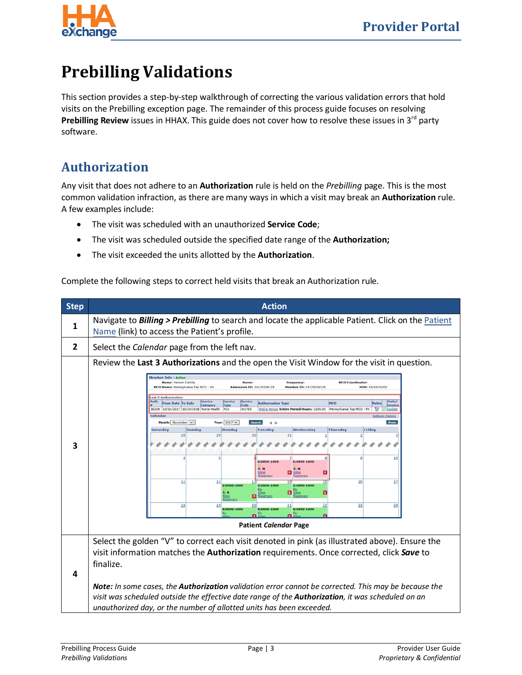

## <span id="page-5-0"></span>**Prebilling Validations**

This section provides a step-by-step walkthrough of correcting the various validation errors that hold visits on the Prebilling exception page. The remainder of this process guide focuses on resolving Prebilling Review issues in HHAX. This guide does not cover how to resolve these issues in 3<sup>rd</sup> party software.

#### <span id="page-5-1"></span>**Authorization**

Any visit that does not adhere to an **Authorization** rule is held on the *Prebilling* page. This is the most common validation infraction, as there are many ways in which a visit may break an **Authorization** rule. A few examples include:

- The visit was scheduled with an unauthorized **Service Code**;
- The visit was scheduled outside the specified date range of the **Authorization;**
- The visit exceeded the units allotted by the **Authorization**.

Complete the following steps to correct held visits that break an Authorization rule.

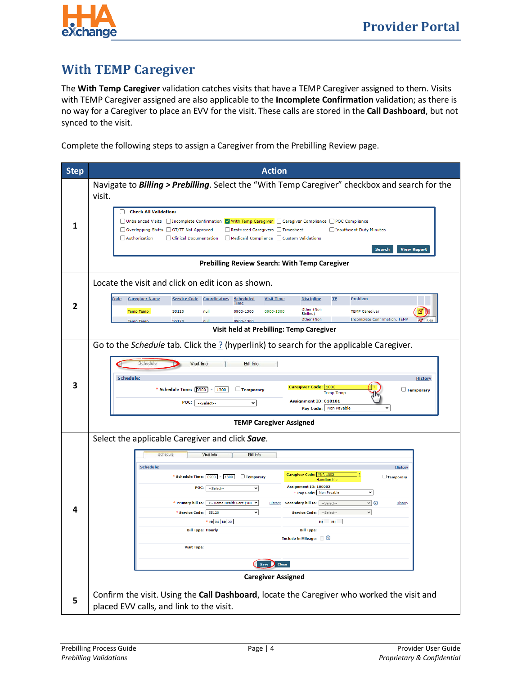

#### <span id="page-6-0"></span>**With TEMP Caregiver**

The **With Temp Caregiver** validation catches visits that have a TEMP Caregiver assigned to them. Visits with TEMP Caregiver assigned are also applicable to the **Incomplete Confirmation** validation; as there is no way for a Caregiver to place an EVV for the visit. These calls are stored in the **Call Dashboard**, but not synced to the visit.

Complete the following steps to assign a Caregiver from the Prebilling Review page.

| <b>Step</b> | <b>Action</b>                                                                                                                                                                                                                                                                                                                                                                                                                                                                                                                                                                                                                                                                                                                                          |
|-------------|--------------------------------------------------------------------------------------------------------------------------------------------------------------------------------------------------------------------------------------------------------------------------------------------------------------------------------------------------------------------------------------------------------------------------------------------------------------------------------------------------------------------------------------------------------------------------------------------------------------------------------------------------------------------------------------------------------------------------------------------------------|
| Ί           | Navigate to <b>Billing &gt; Prebilling</b> . Select the "With Temp Caregiver" checkbox and search for the<br>visit.<br><b>Check All Validation:</b><br>□ Unbalanced Visits □ Incomplete Confirmation ■ With Temp Caregiver □ Caregiver Compliance □ POC Compliance<br>□ Overlapping Shifts □ OT/TT Not Approved<br>Restricted Caregivers Timesheet<br>Insufficient Duty Minutes<br>Authorization<br>Clinical Documentation<br>Medicaid Compliance   Custom Validations<br><b>View Report</b><br>Search<br>Prebilling Review Search: With Temp Caregiver                                                                                                                                                                                                |
| 7           | Locate the visit and click on edit icon as shown.<br><b>Problem</b><br><b>Scheduled</b><br><b>Visit Time</b><br><b>Discipline</b><br><b>TE</b><br><u>ode:</u><br><b>Caregiver Name</b><br><b>Service Code</b><br><b>Coordinators</b><br><b>Time</b><br>Other (Non<br>S5120<br>0900-1300<br>null<br>0900-1300<br><b>TEMP Caregiver</b><br>Temp Temp<br>Skilled)<br>Other (Non<br><b>Incomplete Confirmation, TEMP</b><br>25120<br>0000-1300<br>Visit held at Prebilling: Temp Caregiver                                                                                                                                                                                                                                                                 |
|             | Go to the Schedule tab. Click the $\frac{?}{?}$ (hyperlink) to search for the applicable Caregiver.<br>Schedule<br>Visit Info<br><b>Bill Info</b><br>Schedule:<br><b>History</b><br>Caregiver Code: 1000<br>* Schedule Time: [0900]<br>$-1300$<br>$\Box$ Temporary<br>$\Box$ Temporary<br><b>Temp Temp</b><br>Assignment ID: 010101<br>POC:<br>--Select--<br>$\checkmark$<br>Pay Code: Non Payable<br>$\checkmark$<br><b>TEMP Caregiver Assigned</b>                                                                                                                                                                                                                                                                                                   |
|             | Select the applicable Caregiver and click Save.<br>Schedule<br>Visit Info<br><b>Bill Info</b><br>Schedule:<br><b>History</b><br>Caregiver Code: YNR-1002<br>* Schedule Time: 0900 - 1300<br>$\Box$ Temporary<br>$\Box$ Temporary<br><b>Hamilton Kip</b><br>Assignment ID: 100002<br>POC:<br>$\checkmark$<br>--Select--<br>$\checkmark$<br>* Pay Code: Non Payable<br>* Primary bill to:<br>TS Home Health Care (YNF V<br>Y ⊙<br>Secondary bill to: -Select--<br><b>History</b><br><b>History</b><br>* Service Code: S5120<br>∼∣<br>Service Code:   --Select--<br>$\checkmark$<br>* H: 04 M: 00<br>$H:$ $M:$<br><b>Bill Type: Hourly</b><br><b>Bill Type:</b><br>Include in Mileage: 0<br><b>Visit Type:</b><br>Save Close<br><b>Caregiver Assigned</b> |
| 5           | Confirm the visit. Using the Call Dashboard, locate the Caregiver who worked the visit and<br>placed EVV calls, and link to the visit.                                                                                                                                                                                                                                                                                                                                                                                                                                                                                                                                                                                                                 |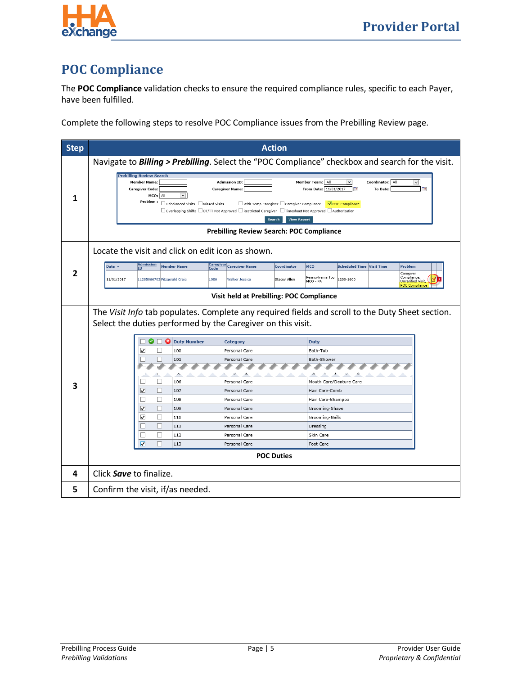



#### <span id="page-7-0"></span>**POC Compliance**

The **POC Compliance** validation checks to ensure the required compliance rules, specific to each Payer, have been fulfilled.

Complete the following steps to resolve POC Compliance issues from the Prebilling Review page.

| <b>Step</b> |                                                                                                                  | <b>Action</b>                                                                                                                                                                                                                                                        |                                                                                                                                |
|-------------|------------------------------------------------------------------------------------------------------------------|----------------------------------------------------------------------------------------------------------------------------------------------------------------------------------------------------------------------------------------------------------------------|--------------------------------------------------------------------------------------------------------------------------------|
| 1           | <b>Prebilling Review Search</b>                                                                                  |                                                                                                                                                                                                                                                                      | Navigate to <b>Billing &gt; Prebilling</b> . Select the "POC Compliance" checkbox and search for the visit.                    |
|             | <b>Member Name:</b><br><b>Caregiver Code:</b><br>All<br>MCO:<br>Problem :<br>□ Unbalanced Visits □ Missed Visits | <b>Admission ID:</b><br><b>Caregiver Name:</b><br>□ With Temp Caregiver □ Caregiver Compliance<br>$\Box$ Overlapping Shifts $\Box$ OT/TT Not Approved $\Box$ Restricted Caregiver $\Box$ Timesheet Not Approved $\Box$ Authorization<br>Search<br><b>View Report</b> | Coordinator: All<br>Member Team: All<br>$\checkmark$<br>From Date: 11/01/2017<br>Tв<br><b>To Date:</b><br>T.<br>POC Compliance |
|             |                                                                                                                  | <b>Prebilling Review Search: POC Compliance</b>                                                                                                                                                                                                                      |                                                                                                                                |
|             | Locate the visit and click on edit icon as shown.                                                                |                                                                                                                                                                                                                                                                      |                                                                                                                                |
|             | <b>Admission</b><br><u>Caregiver</u>                                                                             |                                                                                                                                                                                                                                                                      |                                                                                                                                |
| 2           | Date $\sim$<br><b>Member Name</b><br><b>TD</b><br>Code                                                           | <b>Caregiver Name</b><br>Coordinator                                                                                                                                                                                                                                 | MCO<br><b>Scheduled Time</b><br><b>Visit Time</b><br>Problem<br>Caregiver                                                      |
|             | 11/01/2017<br>11285866703 Fitzgerald Craig<br>1006                                                               | Stacey Allen<br><b>Walker Jessica</b>                                                                                                                                                                                                                                | Compliance,<br>Pennsylvania Top<br>1200-1600<br>MCO - PA<br><b>Unverified Visit</b><br><b>POC Compliance</b>                   |
|             |                                                                                                                  | Visit held at Prebilling: POC Compliance                                                                                                                                                                                                                             |                                                                                                                                |
|             |                                                                                                                  |                                                                                                                                                                                                                                                                      | The Visit Info tab populates. Complete any required fields and scroll to the Duty Sheet section.                               |
|             | Select the duties performed by the Caregiver on this visit.                                                      |                                                                                                                                                                                                                                                                      |                                                                                                                                |
|             |                                                                                                                  |                                                                                                                                                                                                                                                                      |                                                                                                                                |
|             | Ø<br>Ø<br><b>Duty Number</b><br>H<br>- 11<br>⊏                                                                   | Category<br>Personal Care                                                                                                                                                                                                                                            | <b>Duty</b><br>Bath-Tub                                                                                                        |
|             | ⊽<br>100<br>г<br>г<br>101                                                                                        | Personal Care                                                                                                                                                                                                                                                        | Bath-Shower                                                                                                                    |
|             |                                                                                                                  |                                                                                                                                                                                                                                                                      |                                                                                                                                |
|             | □<br>□<br>106                                                                                                    | Personal Care                                                                                                                                                                                                                                                        | Mouth Care/Denture Care                                                                                                        |
| 3           | $\overline{\mathbf{v}}$<br>□<br>107                                                                              | Personal Care                                                                                                                                                                                                                                                        | Hair Care-Comb                                                                                                                 |
|             | □<br>П<br>108                                                                                                    | Personal Care                                                                                                                                                                                                                                                        | Hair Care-Shampoo                                                                                                              |
|             | $\overline{\mathbf{v}}$<br>П<br>109                                                                              | Personal Care                                                                                                                                                                                                                                                        | Grooming-Shave                                                                                                                 |
|             | $\checkmark$<br>□<br>110                                                                                         | Personal Care                                                                                                                                                                                                                                                        | Grooming-Nails                                                                                                                 |
|             | П<br>П<br>111                                                                                                    | Personal Care                                                                                                                                                                                                                                                        | Dressing                                                                                                                       |
|             | □<br>□<br>112                                                                                                    | Personal Care                                                                                                                                                                                                                                                        | Skin Care                                                                                                                      |
|             | $\overline{\mathbf{v}}$<br>П<br>113                                                                              | Personal Care                                                                                                                                                                                                                                                        | Foot Care                                                                                                                      |
|             |                                                                                                                  | <b>POC Duties</b>                                                                                                                                                                                                                                                    |                                                                                                                                |
| 4           | Click Save to finalize.                                                                                          |                                                                                                                                                                                                                                                                      |                                                                                                                                |
| 5           | Confirm the visit, if/as needed.                                                                                 |                                                                                                                                                                                                                                                                      |                                                                                                                                |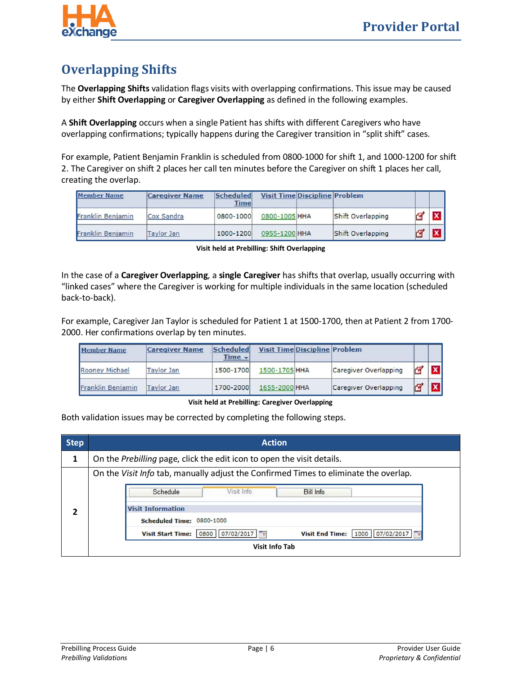

### <span id="page-8-0"></span>**Overlapping Shifts**

The **Overlapping Shifts** validation flags visits with overlapping confirmations. This issue may be caused by either **Shift Overlapping** or **Caregiver Overlapping** as defined in the following examples.

A **Shift Overlapping** occurs when a single Patient has shifts with different Caregivers who have overlapping confirmations; typically happens during the Caregiver transition in "split shift" cases.

For example, Patient Benjamin Franklin is scheduled from 0800-1000 for shift 1, and 1000-1200 for shift 2. The Caregiver on shift 2 places her call ten minutes before the Caregiver on shift 1 places her call, creating the overlap.

| <b>Member Name</b> | <b>Caregiver Name</b> | Scheduled<br><b>Time</b> |               | <b>Visit Time Discipline Problem</b> |                   |      |          |
|--------------------|-----------------------|--------------------------|---------------|--------------------------------------|-------------------|------|----------|
| Franklin Benjamin  | Cox Sandra            | 0800-1000                | 0800-1005 HHA |                                      | Shift Overlapping | نسبر |          |
| Franklin Benjamin  | <b>Taylor Jan</b>     | 1000-1200                | 0955-1200 HHA |                                      | Shift Overlapping |      | <b>x</b> |

**Visit held at Prebilling: Shift Overlapping**

In the case of a **Caregiver Overlapping**, a **single Caregiver** has shifts that overlap, usually occurring with "linked cases" where the Caregiver is working for multiple individuals in the same location (scheduled back-to-back).

For example, Caregiver Jan Taylor is scheduled for Patient 1 at 1500-1700, then at Patient 2 from 1700- 2000. Her confirmations overlap by ten minutes.

| <b>Member Name</b> | <b>Caregiver Name</b> | Scheduled<br>$Time -$ | <b>Visit Time Discipline Problem</b> |                       |    |              |
|--------------------|-----------------------|-----------------------|--------------------------------------|-----------------------|----|--------------|
| Rooney Michael     | <b>Taylor Jan</b>     | 1500-1700             | 1500-1705 HHA                        | Caregiver Overlapping | 52 |              |
| Franklin Benjamin  | Taylor Jan            | 1700-2000             | 1655-2000 HHA                        | Caregiver Overlapping |    | $\mathbf{v}$ |

**Visit held at Prebilling: Caregiver Overlapping**

Both validation issues may be corrected by completing the following steps.

| <b>Step</b> | <b>Action</b>                                                                        |  |  |  |  |  |
|-------------|--------------------------------------------------------------------------------------|--|--|--|--|--|
| 1           | On the Prebilling page, click the edit icon to open the visit details.               |  |  |  |  |  |
|             | On the Visit Info tab, manually adjust the Confirmed Times to eliminate the overlap. |  |  |  |  |  |
|             | Schedule<br>Visit Info<br><b>Bill Info</b>                                           |  |  |  |  |  |
|             | <b>Visit Information</b>                                                             |  |  |  |  |  |
|             | Scheduled Time: 0800-1000                                                            |  |  |  |  |  |
|             | Visit End Time:   1000   07/02/2017  <br>0800 07/02/2017<br><b>Visit Start Time:</b> |  |  |  |  |  |
|             | <b>Visit Info Tab</b>                                                                |  |  |  |  |  |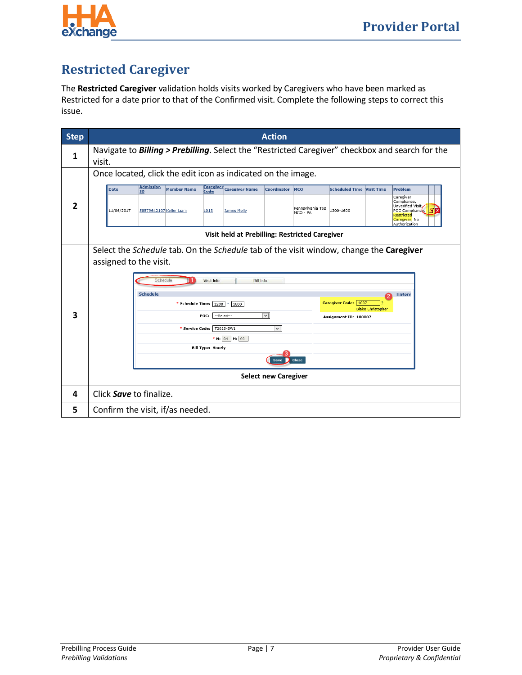

### <span id="page-9-0"></span>**Restricted Caregiver**

The **Restricted Caregiver** validation holds visits worked by Caregivers who have been marked as Restricted for a date prior to that of the Confirmed visit. Complete the following steps to correct this issue.

| <b>Step</b> | <b>Action</b>                                                                                                                                                                                                                                                                                                                                                                                                                                                                                                                                              |  |  |  |  |
|-------------|------------------------------------------------------------------------------------------------------------------------------------------------------------------------------------------------------------------------------------------------------------------------------------------------------------------------------------------------------------------------------------------------------------------------------------------------------------------------------------------------------------------------------------------------------------|--|--|--|--|
| 1           | Navigate to <b>Billing &gt; Prebilling</b> . Select the "Restricted Caregiver" checkbox and search for the<br>visit.                                                                                                                                                                                                                                                                                                                                                                                                                                       |  |  |  |  |
| 2           | Once located, click the edit icon as indicated on the image.<br><b>Admission</b><br>Caregiver<br>Caregiver Name<br><b>Date</b><br><b>Member Name</b><br>Coordinator<br>MCO<br><b>Scheduled Time</b><br><b>Problem</b><br><b>Visit Time</b><br><b>ID</b><br>Code<br>Caregiver<br>Compliance,<br>Unverified Visit,<br>Pennsylvania Top<br>1200-1600<br>11/06/2017<br>58579642107 Keller Liam<br>1013<br>POC Compliance,<br><b>James Molly</b><br>MCO - PA<br>Restricted<br>Caregiver, No.<br>Authorization<br>Visit held at Prebilling: Restricted Caregiver |  |  |  |  |
| 3           | Select the Schedule tab. On the Schedule tab of the visit window, change the Caregiver<br>assigned to the visit.<br>Schedule<br>Visit Info<br><b>Bill Info</b><br><b>Schedule</b><br><b>History</b><br>Caregiver Code: 1007<br>* Schedule Time:<br>1200<br>1600<br>٠<br><b>Blake Christopher</b><br>$\checkmark$<br>--Select--<br>POC:<br>Assignment ID: 100007<br>$\backsim$<br>T2025-SW1<br>* Service Code:<br>* H: 04 M: 00<br><b>Bill Type: Hourly</b><br>Close<br>Save<br><b>Select new Caregiver</b>                                                 |  |  |  |  |
| 4           | Click Save to finalize.                                                                                                                                                                                                                                                                                                                                                                                                                                                                                                                                    |  |  |  |  |
| 5           | Confirm the visit, if/as needed.                                                                                                                                                                                                                                                                                                                                                                                                                                                                                                                           |  |  |  |  |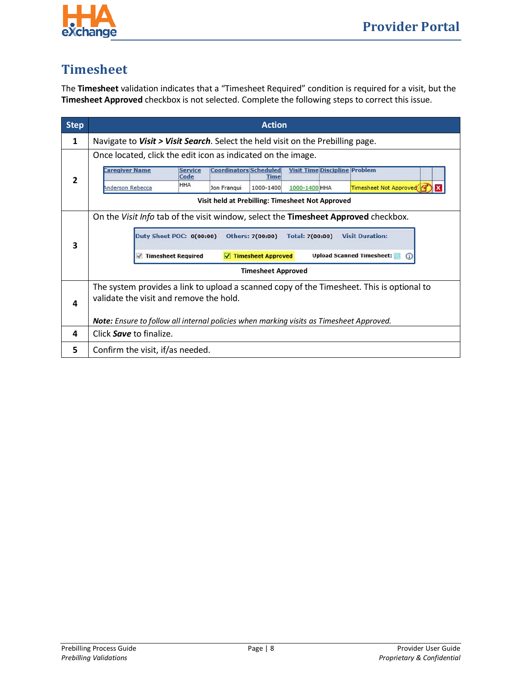

#### <span id="page-10-0"></span>**Timesheet**

The **Timesheet** validation indicates that a "Timesheet Required" condition is required for a visit, but the **Timesheet Approved** checkbox is not selected. Complete the following steps to correct this issue.

| <b>Step</b> | <b>Action</b>                                                                                                                                                                    |  |  |
|-------------|----------------------------------------------------------------------------------------------------------------------------------------------------------------------------------|--|--|
| 1           | Navigate to Visit > Visit Search. Select the held visit on the Prebilling page.                                                                                                  |  |  |
|             | Once located, click the edit icon as indicated on the image.<br><b>Caregiver Name</b><br><b>Coordinators Scheduled</b><br><b>Visit Time Discipline Problem</b><br><b>Service</b> |  |  |
| 2           | Code<br><b>Time</b><br><b>HHA</b><br>Timesheet Not Approved<br>Anderson Rebecca<br>Jon Franqui<br>1000-1400<br>1000-1400 HHA                                                     |  |  |
|             | Visit held at Prebilling: Timesheet Not Approved                                                                                                                                 |  |  |
|             | On the Visit Info tab of the visit window, select the Timesheet Approved checkbox.                                                                                               |  |  |
|             | <b>Duty Sheet POC: 0(00:00)</b><br>Others: 7(00:00)<br><b>Visit Duration:</b><br>Total: 7(00:00)                                                                                 |  |  |
| 3           | <b>Upload Scanned Timesheet:</b><br><b>V</b> Timesheet Approved<br>$\sqrt{}$ Timesheet Required<br>G)                                                                            |  |  |
|             | <b>Timesheet Approved</b>                                                                                                                                                        |  |  |
|             | The system provides a link to upload a scanned copy of the Timesheet. This is optional to                                                                                        |  |  |
|             | validate the visit and remove the hold.                                                                                                                                          |  |  |
| 4           |                                                                                                                                                                                  |  |  |
|             | <b>Note:</b> Ensure to follow all internal policies when marking visits as Timesheet Approved.                                                                                   |  |  |
| 4           | Click <b>Save</b> to finalize.                                                                                                                                                   |  |  |
| 5           | Confirm the visit, if/as needed.                                                                                                                                                 |  |  |